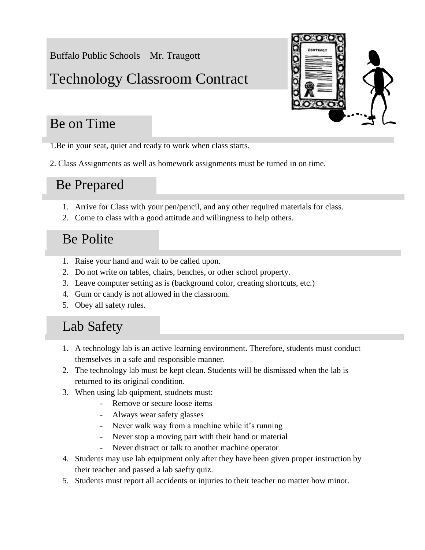Buffalo Public Schools Mr. Traugott

# Technology Classroom Contract

## Be on Time

1.Be in your seat, quiet and ready to work when class starts.

2. Class Assignments as well as homework assignments must be turned in on time.

### Be Prepared

- 1. Arrive for Class with your pen/pencil, and any other required materials for class.
- 2. Come to class with a good attitude and willingness to help others.

## Be Polite

- 1. Raise your hand and wait to be called upon.
- 2. Do not write on tables, chairs, benches, or other school property.
- 3. Leave computer setting as is (background color, creating shortcuts, etc.)
- 4. Gum or candy is not allowed in the classroom.
- 5. Obey all safety rules.

## Lab Safety

- 1. A technology lab is an active learning environment. Therefore, students must conduct themselves in a safe and responsible manner.
- 2. The technology lab must be kept clean. Students will be dismissed when the lab is returned to its original condition.
- 3. When using lab quipment, studnets must:
	- Remove or secure loose items
	- Always wear safety glasses
	- Never walk way from a machine while it's running
	- Never stop a moving part with their hand or material
	- Never distract or talk to another machine operator
- 4. Students may use lab equipment only after they have been given proper instruction by their teacher and passed a lab saefty quiz.
- 5. Students must report all accidents or injuries to their teacher no matter how minor.

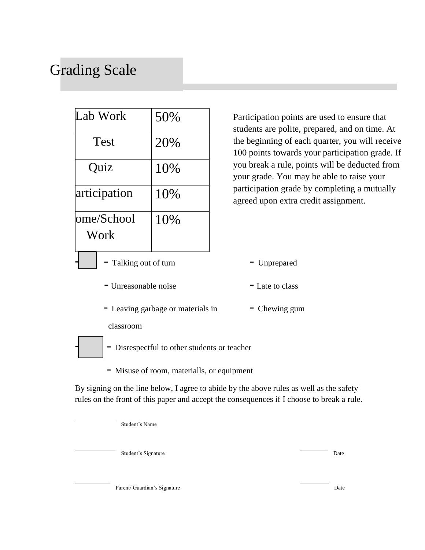# Grading Scale

| Lab Work                               | 50% |
|----------------------------------------|-----|
| <b>Test</b>                            | 20% |
| Quiz                                   | 10% |
| articipation                           | 10% |
| ome/School<br>Work                     | 10% |
| $T_2 U_{\rm max} = 2.4 \times 10^{-4}$ |     |

Participation points are used to ensure that students are polite, prepared, and on time. At the beginning of each quarter, you will receive 100 points towards your participation grade. If you break a rule, points will be deducted from your grade. You may be able to raise your participation grade by completing a mutually agreed upon extra credit assignment.

- -5 Talking out of turn Unprepared
	- Unreasonable noise Late to class
	- Leaving garbage or materials in Chewing gum

classroom



- Disrespectful to other students or teacher
- Misuse of room, materialls, or equipment

By signing on the line below, I agree to abide by the above rules as well as the safety rules on the front of this paper and accept the consequences if I choose to break a rule.

Student's Name

Student's Signature Date

Parent/ Guardian's Signature Date Date of the United States of the Date Date of the Date of the United States of the Date of the United States of the United States of the United States of the United States of the United St

- 
-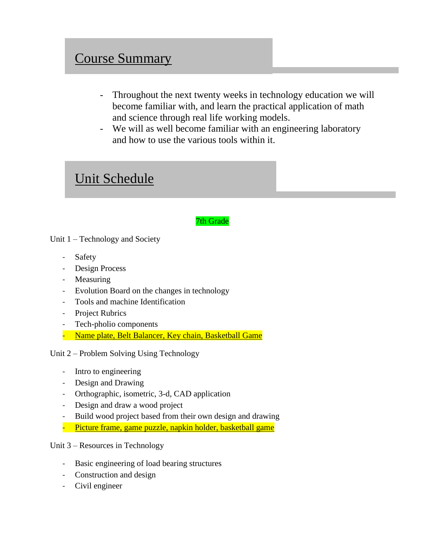### Course Summary

- Throughout the next twenty weeks in technology education we will become familiar with, and learn the practical application of math and science through real life working models.
- We will as well become familiar with an engineering laboratory and how to use the various tools within it.

### Unit Schedule

#### 7th Grade

Unit 1 – Technology and Society

- Safety
- Design Process
- Measuring
- Evolution Board on the changes in technology
- Tools and machine Identification
- Project Rubrics
- Tech-pholio components
- Name plate, Belt Balancer, Key chain, Basketball Game

Unit 2 – Problem Solving Using Technology

- Intro to engineering
- Design and Drawing
- Orthographic, isometric, 3-d, CAD application
- Design and draw a wood project
- Build wood project based from their own design and drawing
- Picture frame, game puzzle, napkin holder, basketball game

Unit 3 – Resources in Technology

- Basic engineering of load bearing structures
- Construction and design
- Civil engineer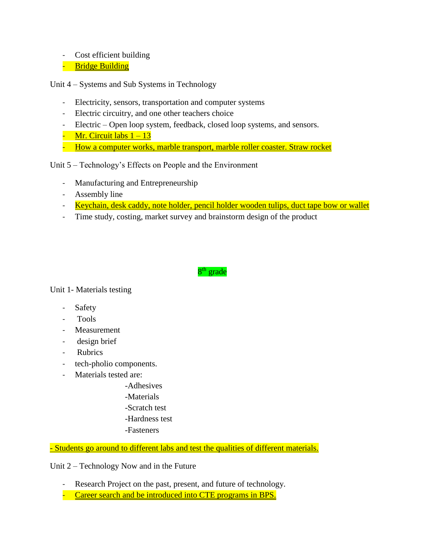- Cost efficient building
- Bridge Building

Unit 4 – Systems and Sub Systems in Technology

- Electricity, sensors, transportation and computer systems
- Electric circuitry, and one other teachers choice
- Electric Open loop system, feedback, closed loop systems, and sensors.
- Mr. Circuit labs  $1 13$
- How a computer works, marble transport, marble roller coaster. Straw rocket

#### Unit 5 – Technology's Effects on People and the Environment

- Manufacturing and Entrepreneurship
- Assembly line
- Keychain, desk caddy, note holder, pencil holder wooden tulips, duct tape bow or wallet
- Time study, costing, market survey and brainstorm design of the product

#### 8<sup>th</sup> grade

Unit 1- Materials testing

- **Safety**
- Tools
- Measurement
- design brief
- Rubrics
- tech-pholio components.
- Materials tested are:
	- -Adhesives
	- -Materials
	- -Scratch test
	- -Hardness test
	- -Fasteners

- Students go around to different labs and test the qualities of different materials.

Unit 2 – Technology Now and in the Future

- Research Project on the past, present, and future of technology.
- Career search and be introduced into CTE programs in BPS.